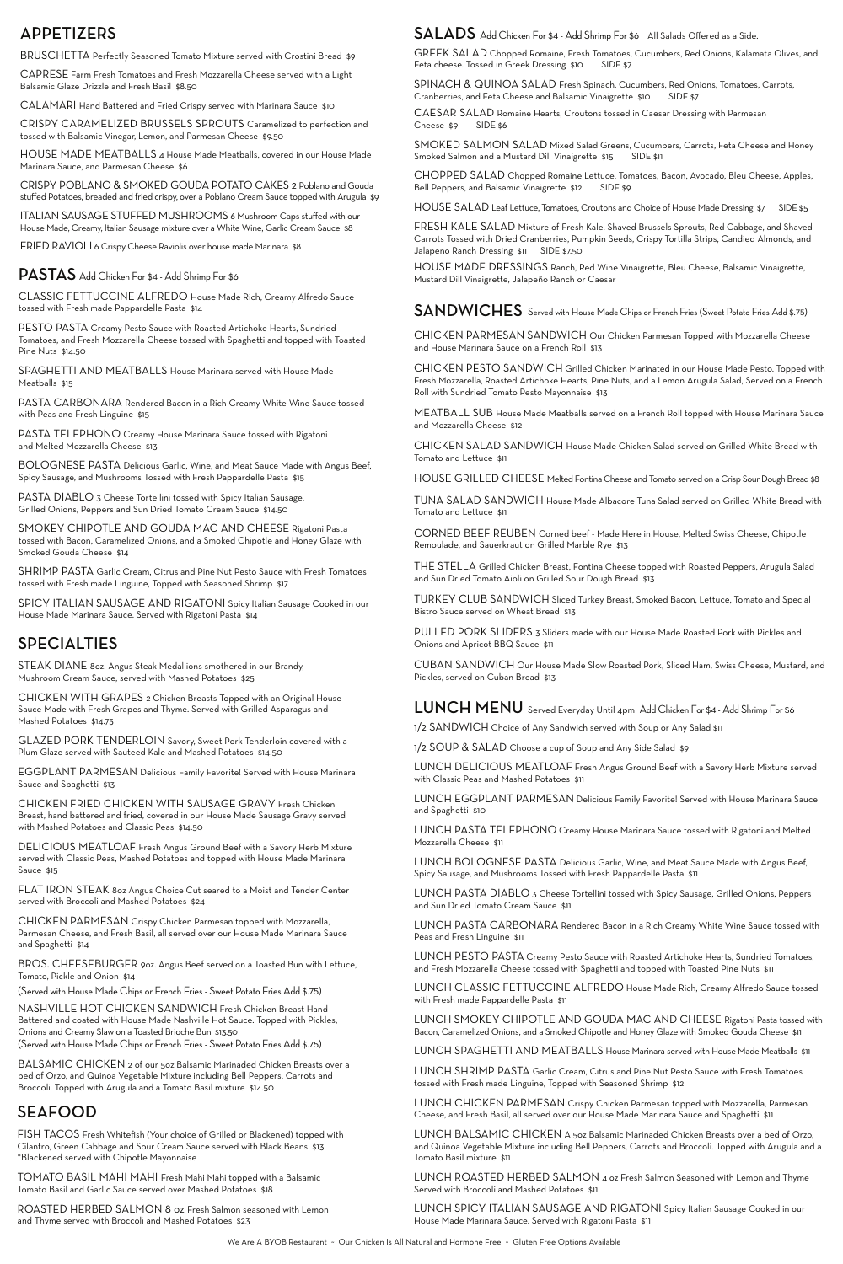## APPETIZERS

BRUSCHETTA Perfectly Seasoned Tomato Mixture served with Crostini Bread \$9

CAPRESE Farm Fresh Tomatoes and Fresh Mozzarella Cheese served with a Light Balsamic Glaze Drizzle and Fresh Basil \$8.50

CALAMARI Hand Battered and Fried Crispy served with Marinara Sauce \$10

CRISPY POBLANO & SMOKED GOUDA POTATO CAKES 2 Poblano and Gouda stuffed Potatoes, breaded and fried crispy, over a Poblano Cream Sauce topped with Arugula \$9

CRISPY CARAMELIZED BRUSSELS SPROUTS Caramelized to perfection and tossed with Balsamic Vinegar, Lemon, and Parmesan Cheese \$9.50

HOUSE MADE MEATBALLS 4 House Made Meatballs, covered in our House Made Marinara Sauce, and Parmesan Cheese \$6

GREEK SALAD Chopped Romaine, Fresh Tomatoes, Cucumbers, Red Onions, Kalamata Olives, and Feta cheese. Tossed in Greek Dressing \$10 SIDE \$7

SPINACH & QUINOA SALAD Fresh Spinach, Cucumbers, Red Onions, Tomatoes, Carrots, Cranberries, and Feta Cheese and Balsamic Vinaigrette \$10 SIDE \$7

SMOKED SALMON SALAD Mixed Salad Greens, Cucumbers, Carrots, Feta Cheese and Honey Smoked Salmon and a Mustard Dill Vinaigrette \$15 SIDE \$11

CHOPPED SALAD Chopped Romaine Lettuce, Tomatoes, Bacon, Avocado, Bleu Cheese, Apples, Bell Peppers, and Balsamic Vinaigrette \$12 SIDE \$9

ITALIAN SAUSAGE STUFFED MUSHROOMS 6 Mushroom Caps stuffed with our House Made, Creamy, Italian Sausage mixture over a White Wine, Garlic Cream Sauce \$8

FRESH KALE SALAD Mixture of Fresh Kale, Shaved Brussels Sprouts, Red Cabbage, and Shaved Carrots Tossed with Dried Cranberries, Pumpkin Seeds, Crispy Tortilla Strips, Candied Almonds, and Jalapeno Ranch Dressing \$11 SIDE \$7.50

FRIED RAVIOLI 6 Crispy Cheese Raviolis over house made Marinara \$8

CAESAR SALAD Romaine Hearts, Croutons tossed in Caesar Dressing with Parmesan Cheese \$9 SIDE \$6

HOUSE SALAD Leaf Lettuce, Tomatoes, Croutons and Choice of House Made Dressing \$7 SIDE \$5

HOUSE MADE DRESSINGS Ranch, Red Wine Vinaigrette, Bleu Cheese, Balsamic Vinaigrette, Mustard Dill Vinaigrette, Jalapeño Ranch or Caesar

## SEAFOOD

FISH TACOS Fresh Whitefish (Your choice of Grilled or Blackened) topped with Cilantro, Green Cabbage and Sour Cream Sauce served with Black Beans \$13 \*Blackened served with Chipotle Mayonnaise

TOMATO BASIL MAHI MAHI Fresh Mahi Mahi topped with a Balsamic Tomato Basil and Garlic Sauce served over Mashed Potatoes \$18

ROASTED HERBED SALMON 8 oz Fresh Salmon seasoned with Lemon and Thyme served with Broccoli and Mashed Potatoes \$23

## SPECIALTIES

STEAK DIANE 8oz. Angus Steak Medallions smothered in our Brandy, Mushroom Cream Sauce, served with Mashed Potatoes \$25

PASTA DIABLO 3 Cheese Tortellini tossed with Spicy Italian Sausage, Grilled Onions, Peppers and Sun Dried Tomato Cream Sauce \$14.50

CHICKEN WITH GRAPES 2 Chicken Breasts Topped with an Original House Sauce Made with Fresh Grapes and Thyme. Served with Grilled Asparagus and Mashed Potatoes \$14.75

GLAZED PORK TENDERLOIN Savory, Sweet Pork Tenderloin covered with a Plum Glaze served with Sauteed Kale and Mashed Potatoes \$14.50

EGGPLANT PARMESAN Delicious Family Favorite! Served with House Marinara Sauce and Spaghetti \$13

CHICKEN FRIED CHICKEN WITH SAUSAGE GRAVY Fresh Chicken Breast, hand battered and fried, covered in our House Made Sausage Gravy served with Mashed Potatoes and Classic Peas \$14.50

DELICIOUS MEATLOAF Fresh Angus Ground Beef with a Savory Herb Mixture served with Classic Peas, Mashed Potatoes and topped with House Made Marinara Sauce \$15

### SALADS Add Chicken For \$4 - Add Shrimp For \$6 All Salads Offered as a Side.

FLAT IRON STEAK 8oz Angus Choice Cut seared to a Moist and Tender Center served with Broccoli and Mashed Potatoes \$24

CHICKEN PARMESAN Crispy Chicken Parmesan topped with Mozzarella, Parmesan Cheese, and Fresh Basil, all served over our House Made Marinara Sauce and Spaghetti \$14

BROS. CHEESEBURGER 9oz. Angus Beef served on a Toasted Bun with Lettuce, Tomato, Pickle and Onion \$14

(Served with House Made Chips or French Fries - Sweet Potato Fries Add \$.75)

NASHVILLE HOT CHICKEN SANDWICH Fresh Chicken Breast Hand Battered and coated with House Made Nashville Hot Sauce. Topped with Pickles, Onions and Creamy Slaw on a Toasted Brioche Bun \$13.50 (Served with House Made Chips or French Fries - Sweet Potato Fries Add \$.75)

LUNCH PESTO PASTA Creamy Pesto Sauce with Roasted Artichoke Hearts, Sundried Tomatoes, and Fresh Mozzarella Cheese tossed with Spaghetti and topped with Toasted Pine Nuts \$11

BALSAMIC CHICKEN 2 of our 5oz Balsamic Marinaded Chicken Breasts over a bed of Orzo, and Quinoa Vegetable Mixture including Bell Peppers, Carrots and Broccoli. Topped with Arugula and a Tomato Basil mixture \$14.50

### PASTAS Add Chicken For \$4 - Add Shrimp For \$6

CLASSIC FETTUCCINE ALFREDO House Made Rich, Creamy Alfredo Sauce tossed with Fresh made Pappardelle Pasta \$14

PESTO PASTA Creamy Pesto Sauce with Roasted Artichoke Hearts, Sundried Tomatoes, and Fresh Mozzarella Cheese tossed with Spaghetti and topped with Toasted Pine Nuts \$14.50

SPAGHETTI AND MEATBALLS House Marinara served with House Made Meatballs \$15

PASTA CARBONARA Rendered Bacon in a Rich Creamy White Wine Sauce tossed with Peas and Fresh Linguine \$15

PASTA TELEPHONO Creamy House Marinara Sauce tossed with Rigatoni and Melted Mozzarella Cheese \$13

BOLOGNESE PASTA Delicious Garlic, Wine, and Meat Sauce Made with Angus Beef, Spicy Sausage, and Mushrooms Tossed with Fresh Pappardelle Pasta \$15

SMOKEY CHIPOTLE AND GOUDA MAC AND CHEESE Rigatoni Pasta tossed with Bacon, Caramelized Onions, and a Smoked Chipotle and Honey Glaze with Smoked Gouda Cheese \$14

SHRIMP PASTA Garlic Cream, Citrus and Pine Nut Pesto Sauce with Fresh Tomatoes tossed with Fresh made Linguine, Topped with Seasoned Shrimp \$17

SPICY ITALIAN SAUSAGE AND RIGATONI Spicy Italian Sausage Cooked in our House Made Marinara Sauce. Served with Rigatoni Pasta \$14

CHICKEN PARMESAN SANDWICH Our Chicken Parmesan Topped with Mozzarella Cheese and House Marinara Sauce on a French Roll \$13

CHICKEN PESTO SANDWICH Grilled Chicken Marinated in our House Made Pesto. Topped with Fresh Mozzarella, Roasted Artichoke Hearts, Pine Nuts, and a Lemon Arugula Salad, Served on a French Roll with Sundried Tomato Pesto Mayonnaise \$13

MEATBALL SUB House Made Meatballs served on a French Roll topped with House Marinara Sauce and Mozzarella Cheese \$12

CHICKEN SALAD SANDWICH House Made Chicken Salad served on Grilled White Bread with Tomato and Lettuce \$11

HOUSE GRILLED CHEESE Melted Fontina Cheese and Tomato served on a Crisp Sour Dough Bread \$8

TUNA SALAD SANDWICH House Made Albacore Tuna Salad served on Grilled White Bread with Tomato and Lettuce \$11

CORNED BEEF REUBEN Corned beef - Made Here in House, Melted Swiss Cheese, Chipotle Remoulade, and Sauerkraut on Grilled Marble Rye \$13

THE STELLA Grilled Chicken Breast, Fontina Cheese topped with Roasted Peppers, Arugula Salad and Sun Dried Tomato Aioli on Grilled Sour Dough Bread \$13

TURKEY CLUB SANDWICH Sliced Turkey Breast, Smoked Bacon, Lettuce, Tomato and Special Bistro Sauce served on Wheat Bread \$13

PULLED PORK SLIDERS 3 Sliders made with our House Made Roasted Pork with Pickles and Onions and Apricot BBQ Sauce \$11

CUBAN SANDWICH Our House Made Slow Roasted Pork, Sliced Ham, Swiss Cheese, Mustard, and Pickles, served on Cuban Bread \$13

## LUNCH MENU Served Everyday Until 4pm Add Chicken For \$4 - Add Shrimp For \$6

1/2 SANDWICH Choice of Any Sandwich served with Soup or Any Salad \$11

1/2 SOUP & SALAD Choose a cup of Soup and Any Side Salad \$9

LUNCH DELICIOUS MEATLOAF Fresh Angus Ground Beef with a Savory Herb Mixture served with Classic Peas and Mashed Potatoes \$11

LUNCH EGGPLANT PARMESAN Delicious Family Favorite! Served with House Marinara Sauce and Spaghetti \$10

SANDWICHES Served with House Made Chips or French Fries (Sweet Potato Fries Add \$.75)

LUNCH PASTA TELEPHONO Creamy House Marinara Sauce tossed with Rigatoni and Melted Mozzarella Cheese \$11

LUNCH BOLOGNESE PASTA Delicious Garlic, Wine, and Meat Sauce Made with Angus Beef, Spicy Sausage, and Mushrooms Tossed with Fresh Pappardelle Pasta \$11

LUNCH PASTA DIABLO 3 Cheese Tortellini tossed with Spicy Sausage, Grilled Onions, Peppers and Sun Dried Tomato Cream Sauce \$11

LUNCH PASTA CARBONARA Rendered Bacon in a Rich Creamy White Wine Sauce tossed with Peas and Fresh Linguine \$11

LUNCH CLASSIC FETTUCCINE ALFREDO House Made Rich, Creamy Alfredo Sauce tossed with Fresh made Pappardelle Pasta \$11

LUNCH SMOKEY CHIPOTLE AND GOUDA MAC AND CHEESE Rigatoni Pasta tossed with Bacon, Caramelized Onions, and a Smoked Chipotle and Honey Glaze with Smoked Gouda Cheese \$11

LUNCH SPAGHETTI AND MEATBALLS House Marinara served with House Made Meatballs \$11

LUNCH SHRIMP PASTA Garlic Cream, Citrus and Pine Nut Pesto Sauce with Fresh Tomatoes tossed with Fresh made Linguine, Topped with Seasoned Shrimp \$12

LUNCH CHICKEN PARMESAN Crispy Chicken Parmesan topped with Mozzarella, Parmesan Cheese, and Fresh Basil, all served over our House Made Marinara Sauce and Spaghetti \$11

LUNCH BALSAMIC CHICKEN A 5oz Balsamic Marinaded Chicken Breasts over a bed of Orzo, and Quinoa Vegetable Mixture including Bell Peppers, Carrots and Broccoli. Topped with Arugula and a Tomato Basil mixture \$11

LUNCH ROASTED HERBED SALMON 4 oz Fresh Salmon Seasoned with Lemon and Thyme Served with Broccoli and Mashed Potatoes \$11

LUNCH SPICY ITALIAN SAUSAGE AND RIGATONI Spicy Italian Sausage Cooked in our House Made Marinara Sauce. Served with Rigatoni Pasta \$11

We Are A BYOB Restaurant ~ Our Chicken Is All Natural and Hormone Free ~ Gluten Free Options Available